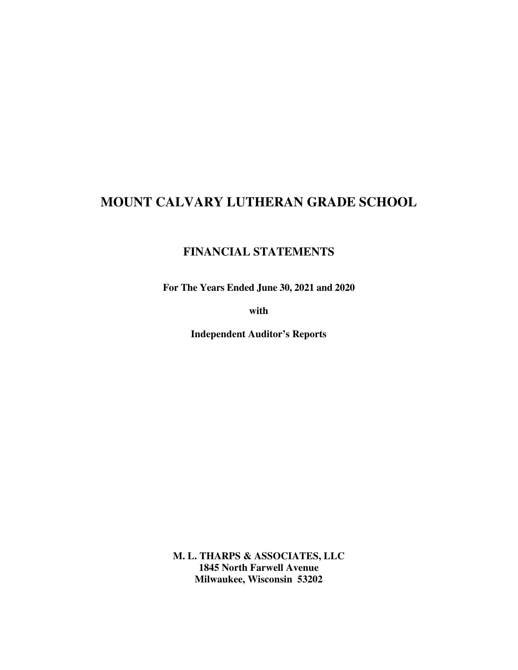# **MOUNT CALVARY LUTHERAN GRADE SCHOOL**

# **FINANCIAL STATEMENTS**

**For The Years Ended June 30, 2021 and 2020**

**with**

**Independent Auditor's Reports**

**M. L. THARPS & ASSOCIATES, LLC 1845 North Farwell Avenue Milwaukee, Wisconsin 53202**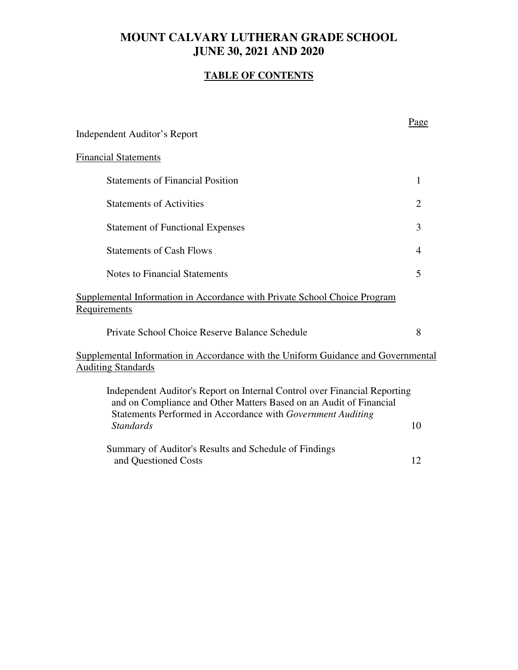# **MOUNT CALVARY LUTHERAN GRADE SCHOOL JUNE 30, 2021 AND 2020**

## **TABLE OF CONTENTS**

| <b>Independent Auditor's Report</b>                                                                                                                                                                                                | Page |
|------------------------------------------------------------------------------------------------------------------------------------------------------------------------------------------------------------------------------------|------|
| <b>Financial Statements</b>                                                                                                                                                                                                        |      |
| <b>Statements of Financial Position</b>                                                                                                                                                                                            | 1    |
| <b>Statements of Activities</b>                                                                                                                                                                                                    | 2    |
| <b>Statement of Functional Expenses</b>                                                                                                                                                                                            | 3    |
| <b>Statements of Cash Flows</b>                                                                                                                                                                                                    | 4    |
| <b>Notes to Financial Statements</b>                                                                                                                                                                                               | 5    |
| Supplemental Information in Accordance with Private School Choice Program<br>Requirements                                                                                                                                          |      |
| Private School Choice Reserve Balance Schedule                                                                                                                                                                                     | 8    |
| Supplemental Information in Accordance with the Uniform Guidance and Governmental<br><b>Auditing Standards</b>                                                                                                                     |      |
| Independent Auditor's Report on Internal Control over Financial Reporting<br>and on Compliance and Other Matters Based on an Audit of Financial<br>Statements Performed in Accordance with Government Auditing<br><b>Standards</b> | 10   |
| Summary of Auditor's Results and Schedule of Findings<br>and Questioned Costs                                                                                                                                                      | 12   |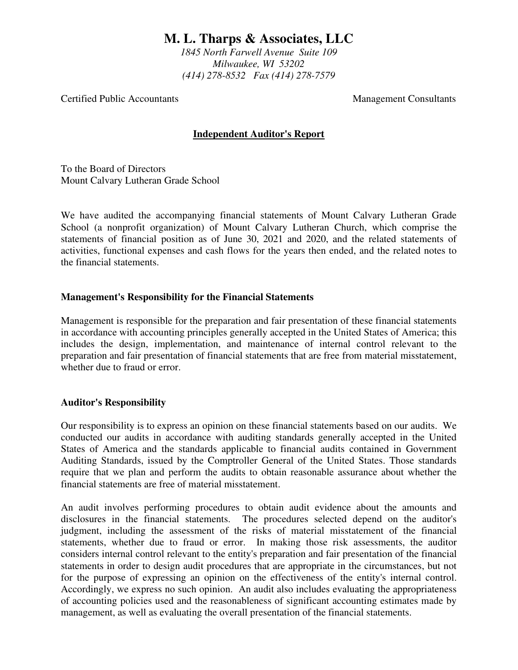# **M. L. Tharps & Associates, LLC**

*1845 North Farwell Avenue Suite 109 Milwaukee, WI 53202 (414) 278-8532 Fax (414) 278-7579*

Certified Public Accountants Management Consultants

## **Independent Auditor's Report**

To the Board of Directors Mount Calvary Lutheran Grade School

We have audited the accompanying financial statements of Mount Calvary Lutheran Grade School (a nonprofit organization) of Mount Calvary Lutheran Church, which comprise the statements of financial position as of June 30, 2021 and 2020, and the related statements of activities, functional expenses and cash flows for the years then ended, and the related notes to the financial statements.

#### **Management's Responsibility for the Financial Statements**

Management is responsible for the preparation and fair presentation of these financial statements in accordance with accounting principles generally accepted in the United States of America; this includes the design, implementation, and maintenance of internal control relevant to the preparation and fair presentation of financial statements that are free from material misstatement, whether due to fraud or error.

#### **Auditor's Responsibility**

Our responsibility is to express an opinion on these financial statements based on our audits. We conducted our audits in accordance with auditing standards generally accepted in the United States of America and the standards applicable to financial audits contained in Government Auditing Standards, issued by the Comptroller General of the United States. Those standards require that we plan and perform the audits to obtain reasonable assurance about whether the financial statements are free of material misstatement.

An audit involves performing procedures to obtain audit evidence about the amounts and disclosures in the financial statements. The procedures selected depend on the auditor's judgment, including the assessment of the risks of material misstatement of the financial statements, whether due to fraud or error. In making those risk assessments, the auditor considers internal control relevant to the entity's preparation and fair presentation of the financial statements in order to design audit procedures that are appropriate in the circumstances, but not for the purpose of expressing an opinion on the effectiveness of the entity's internal control. Accordingly, we express no such opinion. An audit also includes evaluating the appropriateness of accounting policies used and the reasonableness of significant accounting estimates made by management, as well as evaluating the overall presentation of the financial statements.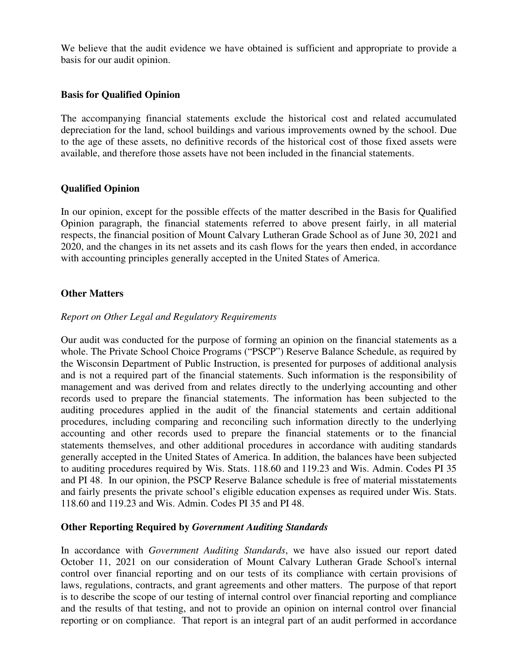We believe that the audit evidence we have obtained is sufficient and appropriate to provide a basis for our audit opinion.

#### **Basis for Qualified Opinion**

The accompanying financial statements exclude the historical cost and related accumulated depreciation for the land, school buildings and various improvements owned by the school. Due to the age of these assets, no definitive records of the historical cost of those fixed assets were available, and therefore those assets have not been included in the financial statements.

#### **Qualified Opinion**

In our opinion, except for the possible effects of the matter described in the Basis for Qualified Opinion paragraph, the financial statements referred to above present fairly, in all material respects, the financial position of Mount Calvary Lutheran Grade School as of June 30, 2021 and 2020, and the changes in its net assets and its cash flows for the years then ended, in accordance with accounting principles generally accepted in the United States of America.

#### **Other Matters**

#### *Report on Other Legal and Regulatory Requirements*

Our audit was conducted for the purpose of forming an opinion on the financial statements as a whole. The Private School Choice Programs ("PSCP") Reserve Balance Schedule, as required by the Wisconsin Department of Public Instruction, is presented for purposes of additional analysis and is not a required part of the financial statements. Such information is the responsibility of management and was derived from and relates directly to the underlying accounting and other records used to prepare the financial statements. The information has been subjected to the auditing procedures applied in the audit of the financial statements and certain additional procedures, including comparing and reconciling such information directly to the underlying accounting and other records used to prepare the financial statements or to the financial statements themselves, and other additional procedures in accordance with auditing standards generally accepted in the United States of America. In addition, the balances have been subjected to auditing procedures required by Wis. Stats. 118.60 and 119.23 and Wis. Admin. Codes PI 35 and PI 48. In our opinion, the PSCP Reserve Balance schedule is free of material misstatements and fairly presents the private school's eligible education expenses as required under Wis. Stats. 118.60 and 119.23 and Wis. Admin. Codes PI 35 and PI 48.

#### **Other Reporting Required by** *Government Auditing Standards*

In accordance with *Government Auditing Standards*, we have also issued our report dated October 11, 2021 on our consideration of Mount Calvary Lutheran Grade School's internal control over financial reporting and on our tests of its compliance with certain provisions of laws, regulations, contracts, and grant agreements and other matters. The purpose of that report is to describe the scope of our testing of internal control over financial reporting and compliance and the results of that testing, and not to provide an opinion on internal control over financial reporting or on compliance. That report is an integral part of an audit performed in accordance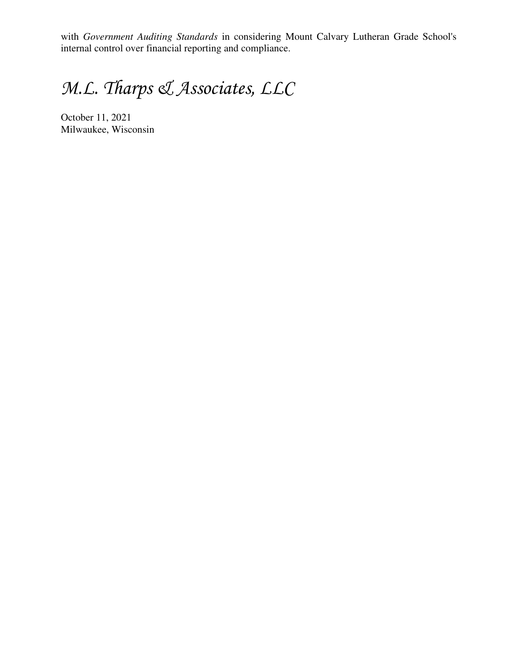with *Government Auditing Standards* in considering Mount Calvary Lutheran Grade School's internal control over financial reporting and compliance.

*M.L. Tharps & Associates, LLC*

October 11, 2021 Milwaukee, Wisconsin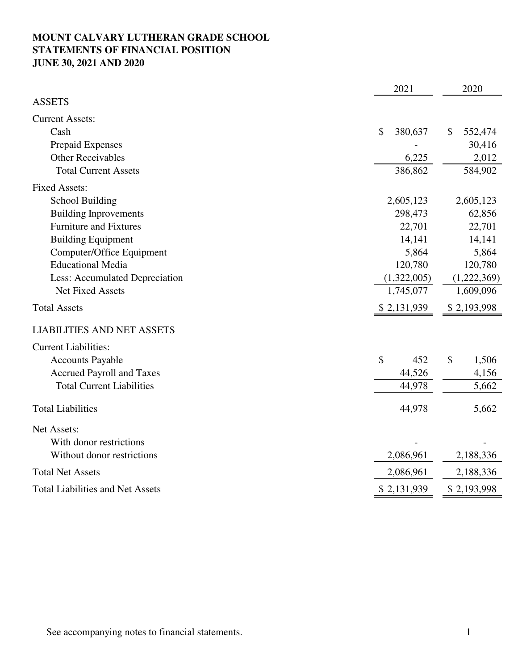## **MOUNT CALVARY LUTHERAN GRADE SCHOOL STATEMENTS OF FINANCIAL POSITION JUNE 30, 2021 AND 2020**

|                                         | 2021          | 2020          |
|-----------------------------------------|---------------|---------------|
| <b>ASSETS</b>                           |               |               |
| <b>Current Assets:</b>                  |               |               |
| Cash                                    | \$<br>380,637 | \$<br>552,474 |
| Prepaid Expenses                        |               | 30,416        |
| <b>Other Receivables</b>                | 6,225         | 2,012         |
| <b>Total Current Assets</b>             | 386,862       | 584,902       |
| <b>Fixed Assets:</b>                    |               |               |
| <b>School Building</b>                  | 2,605,123     | 2,605,123     |
| <b>Building Inprovements</b>            | 298,473       | 62,856        |
| <b>Furniture and Fixtures</b>           | 22,701        | 22,701        |
| <b>Building Equipment</b>               | 14,141        | 14,141        |
| Computer/Office Equipment               | 5,864         | 5,864         |
| <b>Educational Media</b>                | 120,780       | 120,780       |
| Less: Accumulated Depreciation          | (1,322,005)   | (1,222,369)   |
| <b>Net Fixed Assets</b>                 | 1,745,077     | 1,609,096     |
| <b>Total Assets</b>                     | \$2,131,939   | \$2,193,998   |
| <b>LIABILITIES AND NET ASSETS</b>       |               |               |
| <b>Current Liabilities:</b>             |               |               |
| <b>Accounts Payable</b>                 | \$<br>452     | \$<br>1,506   |
| <b>Accrued Payroll and Taxes</b>        | 44,526        | 4,156         |
| <b>Total Current Liabilities</b>        | 44,978        | 5,662         |
| <b>Total Liabilities</b>                | 44,978        | 5,662         |
| <b>Net Assets:</b>                      |               |               |
| With donor restrictions                 |               |               |
| Without donor restrictions              | 2,086,961     | 2,188,336     |
| <b>Total Net Assets</b>                 | 2,086,961     | 2,188,336     |
| <b>Total Liabilities and Net Assets</b> | \$2,131,939   | \$2,193,998   |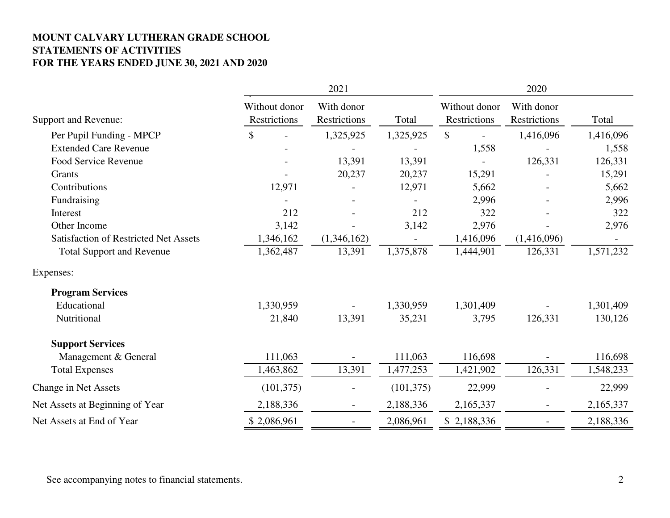# **MOUNT CALVARY LUTHERAN GRADE SCHOOL STATEMENTS OF ACTIVITIES FOR THE YEARS ENDED JUNE 30, <sup>2021</sup> AND <sup>2020</sup>**

|                                              |                               | 2021                       |            |                               | 2020                       |           |
|----------------------------------------------|-------------------------------|----------------------------|------------|-------------------------------|----------------------------|-----------|
| Support and Revenue:                         | Without donor<br>Restrictions | With donor<br>Restrictions | Total      | Without donor<br>Restrictions | With donor<br>Restrictions | Total     |
| Per Pupil Funding - MPCP                     | \$                            | 1,325,925                  | 1,325,925  | \$<br>$\overline{a}$          | 1,416,096                  | 1,416,096 |
| <b>Extended Care Revenue</b>                 |                               |                            |            | 1,558                         |                            | 1,558     |
| Food Service Revenue                         |                               | 13,391                     | 13,391     |                               | 126,331                    | 126,331   |
| Grants                                       |                               | 20,237                     | 20,237     | 15,291                        |                            | 15,291    |
| Contributions                                | 12,971                        |                            | 12,971     | 5,662                         |                            | 5,662     |
| Fundraising                                  |                               |                            |            | 2,996                         |                            | 2,996     |
| Interest                                     | 212                           |                            | 212        | 322                           |                            | 322       |
| Other Income                                 | 3,142                         |                            | 3,142      | 2,976                         |                            | 2,976     |
| <b>Satisfaction of Restricted Net Assets</b> | 1,346,162                     | (1,346,162)                |            | 1,416,096                     | (1,416,096)                |           |
| <b>Total Support and Revenue</b>             | 1,362,487                     | 13,391                     | 1,375,878  | 1,444,901                     | 126,331                    | 1,571,232 |
| Expenses:                                    |                               |                            |            |                               |                            |           |
| <b>Program Services</b>                      |                               |                            |            |                               |                            |           |
| Educational                                  | 1,330,959                     |                            | 1,330,959  | 1,301,409                     |                            | 1,301,409 |
| Nutritional                                  | 21,840                        | 13,391                     | 35,231     | 3,795                         | 126,331                    | 130,126   |
| <b>Support Services</b>                      |                               |                            |            |                               |                            |           |
| Management & General                         | 111,063                       |                            | 111,063    | 116,698                       |                            | 116,698   |
| <b>Total Expenses</b>                        | 1,463,862                     | 13,391                     | 1,477,253  | 1,421,902                     | 126,331                    | 1,548,233 |
| Change in Net Assets                         | (101, 375)                    |                            | (101, 375) | 22,999                        |                            | 22,999    |
| Net Assets at Beginning of Year              | 2,188,336                     |                            | 2,188,336  | 2,165,337                     |                            | 2,165,337 |
| Net Assets at End of Year                    | \$2,086,961                   |                            | 2,086,961  | \$2,188,336                   |                            | 2,188,336 |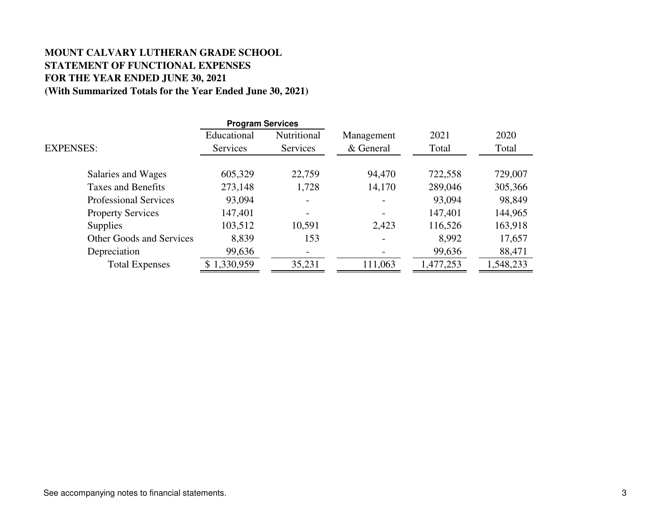# **MOUNT CALVARY LUTHERAN GRADE SCHOOL STATEMENT OF FUNCTIONAL EXPENSES FOR THE YEAR ENDED JUNE 30, <sup>2021</sup> (With Summarized Totals for the Year Ended June 30, 2021)**

|                                 | <b>Program Services</b> |             |            |           |           |
|---------------------------------|-------------------------|-------------|------------|-----------|-----------|
|                                 | Educational             | Nutritional | Management | 2021      | 2020      |
| <b>EXPENSES:</b>                | <b>Services</b>         | Services    | & General  | Total     | Total     |
| Salaries and Wages              | 605,329                 | 22,759      | 94,470     | 722,558   | 729,007   |
| <b>Taxes and Benefits</b>       | 273,148                 | 1,728       | 14,170     | 289,046   | 305,366   |
| <b>Professional Services</b>    | 93,094                  |             |            | 93,094    | 98,849    |
| <b>Property Services</b>        | 147,401                 |             |            | 147,401   | 144,965   |
| <b>Supplies</b>                 | 103,512                 | 10,591      | 2,423      | 116,526   | 163,918   |
| <b>Other Goods and Services</b> | 8,839                   | 153         |            | 8,992     | 17,657    |
| Depreciation                    | 99,636                  |             |            | 99,636    | 88,471    |
| <b>Total Expenses</b>           | \$1,330,959             | 35,231      | 111,063    | 1,477,253 | 1,548,233 |
|                                 |                         |             |            |           |           |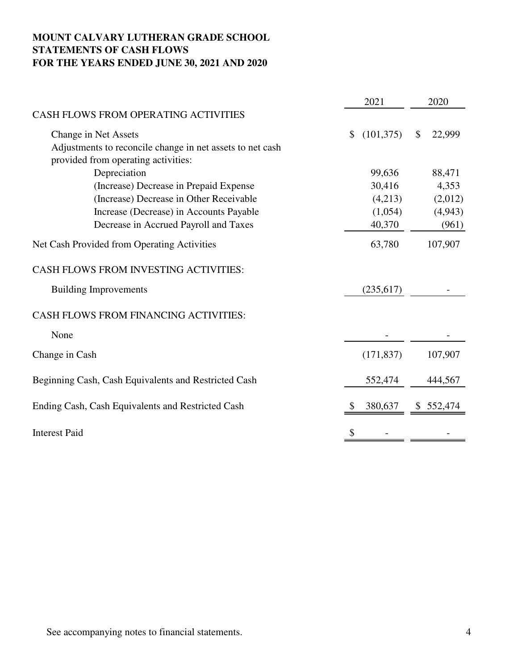## **MOUNT CALVARY LUTHERAN GRADE SCHOOL STATEMENTS OF CASH FLOWS FOR THE YEARS ENDED JUNE 30, 2021 AND 2020**

|                                                           | 2021             | 2020                                |
|-----------------------------------------------------------|------------------|-------------------------------------|
| CASH FLOWS FROM OPERATING ACTIVITIES                      |                  |                                     |
| Change in Net Assets                                      | (101, 375)<br>\$ | $\boldsymbol{\mathsf{S}}$<br>22,999 |
| Adjustments to reconcile change in net assets to net cash |                  |                                     |
| provided from operating activities:                       |                  |                                     |
| Depreciation                                              | 99,636           | 88,471                              |
| (Increase) Decrease in Prepaid Expense                    | 30,416           | 4,353                               |
| (Increase) Decrease in Other Receivable                   | (4,213)          | (2,012)                             |
| Increase (Decrease) in Accounts Payable                   | (1,054)          | (4,943)                             |
| Decrease in Accrued Payroll and Taxes                     | 40,370           | (961)                               |
| Net Cash Provided from Operating Activities               | 63,780           | 107,907                             |
| CASH FLOWS FROM INVESTING ACTIVITIES:                     |                  |                                     |
| <b>Building Improvements</b>                              | (235, 617)       |                                     |
| <b>CASH FLOWS FROM FINANCING ACTIVITIES:</b>              |                  |                                     |
| None                                                      |                  |                                     |
| Change in Cash                                            | (171, 837)       | 107,907                             |
| Beginning Cash, Cash Equivalents and Restricted Cash      | 552,474          | 444,567                             |
| Ending Cash, Cash Equivalents and Restricted Cash         | 380,637<br>P.    | \$552,474                           |
| <b>Interest Paid</b>                                      | S                |                                     |
|                                                           |                  |                                     |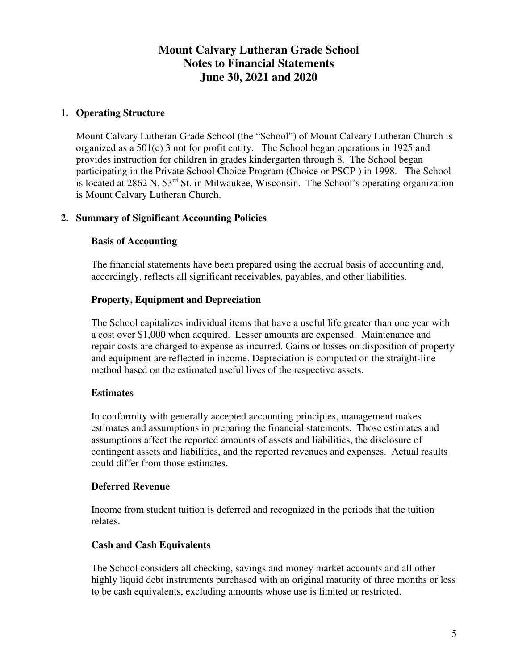# **Mount Calvary Lutheran Grade School Notes to Financial Statements June 30, 2021 and 2020**

## **1. Operating Structure**

Mount Calvary Lutheran Grade School (the "School") of Mount Calvary Lutheran Church is organized as a 501(c) 3 not for profit entity. The School began operations in 1925 and provides instruction for children in grades kindergarten through 8. The School began participating in the Private School Choice Program (Choice or PSCP ) in 1998. The School is located at 2862 N. 53<sup>rd</sup> St. in Milwaukee, Wisconsin. The School's operating organization is Mount Calvary Lutheran Church.

## **2. Summary of Significant Accounting Policies**

## **Basis of Accounting**

The financial statements have been prepared using the accrual basis of accounting and, accordingly, reflects all significant receivables, payables, and other liabilities.

## **Property, Equipment and Depreciation**

The School capitalizes individual items that have a useful life greater than one year with a cost over \$1,000 when acquired. Lesser amounts are expensed. Maintenance and repair costs are charged to expense as incurred. Gains or losses on disposition of property and equipment are reflected in income. Depreciation is computed on the straight-line method based on the estimated useful lives of the respective assets.

## **Estimates**

In conformity with generally accepted accounting principles, management makes estimates and assumptions in preparing the financial statements. Those estimates and assumptions affect the reported amounts of assets and liabilities, the disclosure of contingent assets and liabilities, and the reported revenues and expenses. Actual results could differ from those estimates.

## **Deferred Revenue**

Income from student tuition is deferred and recognized in the periods that the tuition relates.

## **Cash and Cash Equivalents**

The School considers all checking, savings and money market accounts and all other highly liquid debt instruments purchased with an original maturity of three months or less to be cash equivalents, excluding amounts whose use is limited or restricted.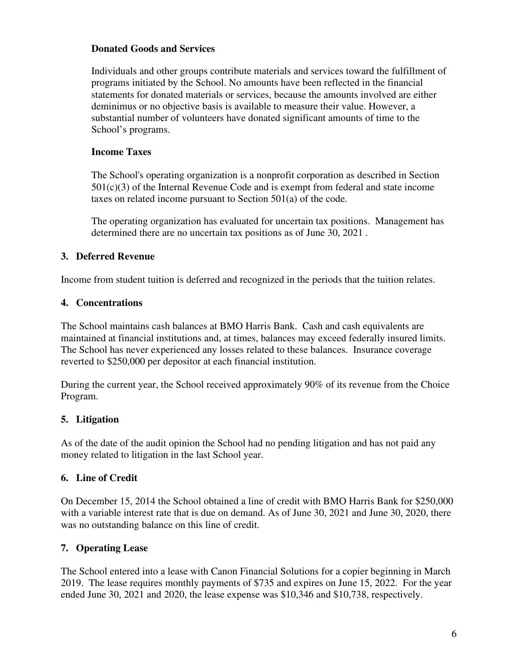#### **Donated Goods and Services**

Individuals and other groups contribute materials and services toward the fulfillment of programs initiated by the School. No amounts have been reflected in the financial statements for donated materials or services, because the amounts involved are either deminimus or no objective basis is available to measure their value. However, a substantial number of volunteers have donated significant amounts of time to the School's programs.

## **Income Taxes**

The School's operating organization is a nonprofit corporation as described in Section  $501(c)(3)$  of the Internal Revenue Code and is exempt from federal and state income taxes on related income pursuant to Section 501(a) of the code.

The operating organization has evaluated for uncertain tax positions. Management has determined there are no uncertain tax positions as of June 30, 2021 .

## **3. Deferred Revenue**

Income from student tuition is deferred and recognized in the periods that the tuition relates.

## **4. Concentrations**

The School maintains cash balances at BMO Harris Bank. Cash and cash equivalents are maintained at financial institutions and, at times, balances may exceed federally insured limits. The School has never experienced any losses related to these balances. Insurance coverage reverted to \$250,000 per depositor at each financial institution.

During the current year, the School received approximately 90% of its revenue from the Choice Program.

## **5. Litigation**

As of the date of the audit opinion the School had no pending litigation and has not paid any money related to litigation in the last School year.

## **6. Line of Credit**

On December 15, 2014 the School obtained a line of credit with BMO Harris Bank for \$250,000 with a variable interest rate that is due on demand. As of June 30, 2021 and June 30, 2020, there was no outstanding balance on this line of credit.

## **7. Operating Lease**

The School entered into a lease with Canon Financial Solutions for a copier beginning in March 2019. The lease requires monthly payments of \$735 and expires on June 15, 2022. For the year ended June 30, 2021 and 2020, the lease expense was \$10,346 and \$10,738, respectively.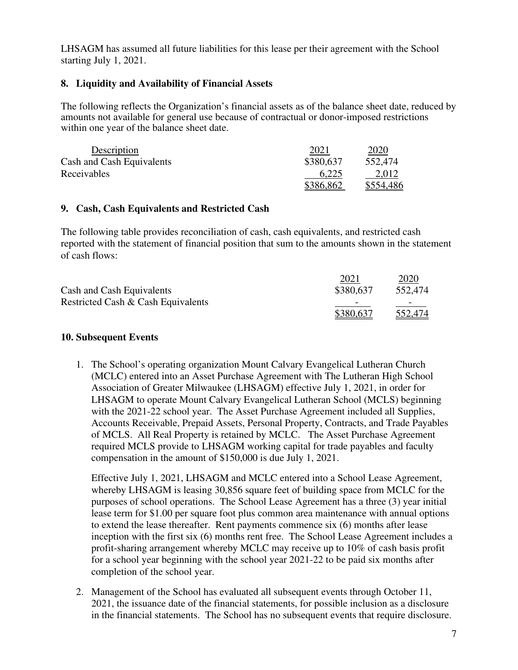LHSAGM has assumed all future liabilities for this lease per their agreement with the School starting July 1, 2021.

#### **8. Liquidity and Availability of Financial Assets**

The following reflects the Organization's financial assets as of the balance sheet date, reduced by amounts not available for general use because of contractual or donor-imposed restrictions within one year of the balance sheet date.

| Description               | 2021      | 2020      |
|---------------------------|-----------|-----------|
| Cash and Cash Equivalents | \$380,637 | 552,474   |
| Receivables               | 6.225     | 2.012     |
|                           | \$386.862 | \$554,486 |

#### **9. Cash, Cash Equivalents and Restricted Cash**

The following table provides reconciliation of cash, cash equivalents, and restricted cash reported with the statement of financial position that sum to the amounts shown in the statement of cash flows:

|                                    | 2021      | 2020    |
|------------------------------------|-----------|---------|
| Cash and Cash Equivalents          | \$380.637 | 552,474 |
| Restricted Cash & Cash Equivalents |           |         |
|                                    | \$380,637 | 552,474 |

#### **10. Subsequent Events**

1. The School's operating organization Mount Calvary Evangelical Lutheran Church (MCLC) entered into an Asset Purchase Agreement with The Lutheran High School Association of Greater Milwaukee (LHSAGM) effective July 1, 2021, in order for LHSAGM to operate Mount Calvary Evangelical Lutheran School (MCLS) beginning with the 2021-22 school year. The Asset Purchase Agreement included all Supplies, Accounts Receivable, Prepaid Assets, Personal Property, Contracts, and Trade Payables of MCLS. All Real Property is retained by MCLC. The Asset Purchase Agreement required MCLS provide to LHSAGM working capital for trade payables and faculty compensation in the amount of \$150,000 is due July 1, 2021.

Effective July 1, 2021, LHSAGM and MCLC entered into a School Lease Agreement, whereby LHSAGM is leasing 30,856 square feet of building space from MCLC for the purposes of school operations. The School Lease Agreement has a three (3) year initial lease term for \$1.00 per square foot plus common area maintenance with annual options to extend the lease thereafter. Rent payments commence six (6) months after lease inception with the first six (6) months rent free. The School Lease Agreement includes a profit-sharing arrangement whereby MCLC may receive up to 10% of cash basis profit for a school year beginning with the school year 2021-22 to be paid six months after completion of the school year.

2. Management of the School has evaluated all subsequent events through October 11, 2021, the issuance date of the financial statements, for possible inclusion as a disclosure in the financial statements. The School has no subsequent events that require disclosure.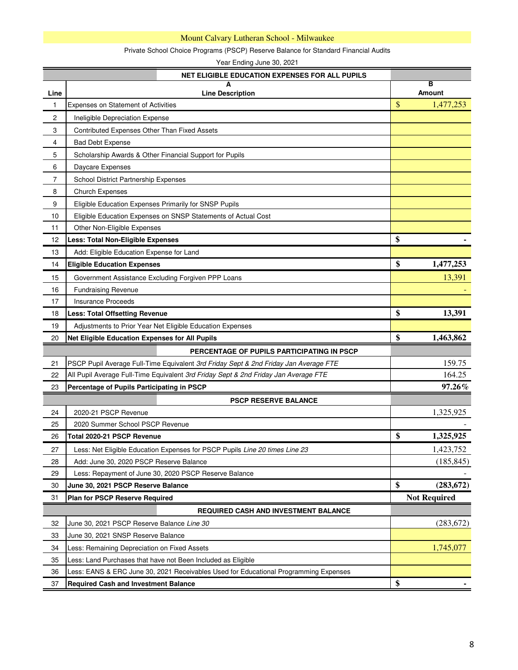#### Mount Calvary Lutheran School - Milwaukee

Private School Choice Programs (PSCP) Reserve Balance for Standard Financial Audits

|                | Year Ending June 30, 2021                                                            |                     |
|----------------|--------------------------------------------------------------------------------------|---------------------|
|                | <b>NET ELIGIBLE EDUCATION EXPENSES FOR ALL PUPILS</b><br>A                           | в                   |
| Line           | <b>Line Description</b>                                                              | Amount              |
| 1              | Expenses on Statement of Activities                                                  | \$<br>1,477,253     |
| 2              | Ineligible Depreciation Expense                                                      |                     |
| 3              | Contributed Expenses Other Than Fixed Assets                                         |                     |
| 4              | <b>Bad Debt Expense</b>                                                              |                     |
| 5              | Scholarship Awards & Other Financial Support for Pupils                              |                     |
| 6              | Daycare Expenses                                                                     |                     |
| $\overline{7}$ | School District Partnership Expenses                                                 |                     |
| 8              | Church Expenses                                                                      |                     |
| 9              | Eligible Education Expenses Primarily for SNSP Pupils                                |                     |
| 10             | Eligible Education Expenses on SNSP Statements of Actual Cost                        |                     |
| 11             | Other Non-Eligible Expenses                                                          |                     |
| 12             | Less: Total Non-Eligible Expenses                                                    | \$                  |
| 13             | Add: Eligible Education Expense for Land                                             |                     |
| 14             | <b>Eligible Education Expenses</b>                                                   | \$<br>1,477,253     |
| 15             | Government Assistance Excluding Forgiven PPP Loans                                   | 13,391              |
| 16             | <b>Fundraising Revenue</b>                                                           |                     |
| 17             | <b>Insurance Proceeds</b>                                                            |                     |
| 18             | <b>Less: Total Offsetting Revenue</b>                                                | \$<br>13,391        |
| 19             | Adjustments to Prior Year Net Eligible Education Expenses                            |                     |
| 20             | Net Eligible Education Expenses for All Pupils                                       | \$<br>1,463,862     |
|                | PERCENTAGE OF PUPILS PARTICIPATING IN PSCP                                           |                     |
| 21             | PSCP Pupil Average Full-Time Equivalent 3rd Friday Sept & 2nd Friday Jan Average FTE | 159.75              |
| 22             | All Pupil Average Full-Time Equivalent 3rd Friday Sept & 2nd Friday Jan Average FTE  | 164.25              |
| 23             | Percentage of Pupils Participating in PSCP                                           | 97.26%              |
|                | <b>PSCP RESERVE BALANCE</b>                                                          |                     |
| 24             | 2020-21 PSCP Revenue                                                                 | 1,325,925           |
| 25             | 2020 Summer School PSCP Revenue                                                      |                     |
| 26             | Total 2020-21 PSCP Revenue                                                           | \$<br>1,325,925     |
| 27             | Less: Net Eligible Education Expenses for PSCP Pupils Line 20 times Line 23          | 1,423,752           |
| 28             | Add: June 30, 2020 PSCP Reserve Balance                                              | (185, 845)          |
| 29             | Less: Repayment of June 30, 2020 PSCP Reserve Balance                                |                     |
| 30             | June 30, 2021 PSCP Reserve Balance                                                   | \$<br>(283, 672)    |
| 31             | <b>Plan for PSCP Reserve Required</b>                                                | <b>Not Required</b> |
|                | REQUIRED CASH AND INVESTMENT BALANCE                                                 |                     |
| 32             | June 30, 2021 PSCP Reserve Balance Line 30                                           | (283, 672)          |
| 33             | June 30, 2021 SNSP Reserve Balance                                                   |                     |
| 34             | Less: Remaining Depreciation on Fixed Assets                                         | 1,745,077           |
| 35             | Less: Land Purchases that have not Been Included as Eligible                         |                     |
| 36             | Less: EANS & ERC June 30, 2021 Receivables Used for Educational Programming Expenses |                     |
| 37             | <b>Required Cash and Investment Balance</b>                                          | \$                  |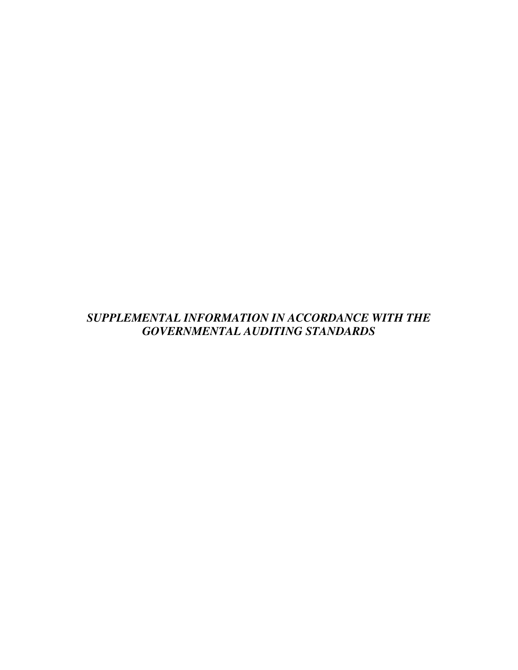*SUPPLEMENTAL INFORMATION IN ACCORDANCE WITH THE GOVERNMENTAL AUDITING STANDARDS*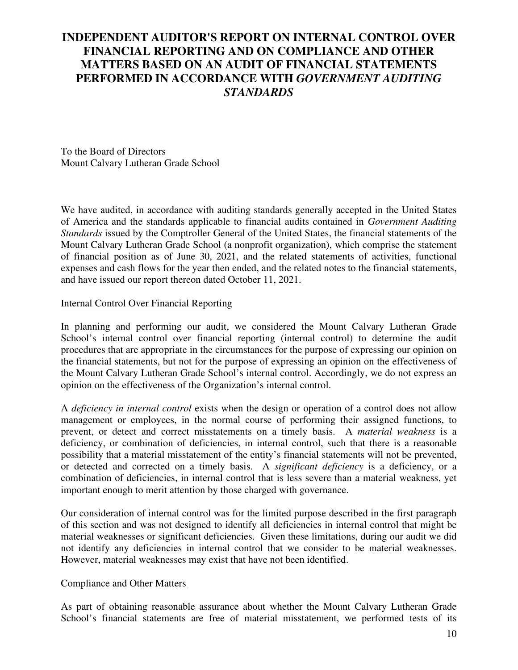# **INDEPENDENT AUDITOR'S REPORT ON INTERNAL CONTROL OVER FINANCIAL REPORTING AND ON COMPLIANCE AND OTHER MATTERS BASED ON AN AUDIT OF FINANCIAL STATEMENTS PERFORMED IN ACCORDANCE WITH** *GOVERNMENT AUDITING STANDARDS*

To the Board of Directors Mount Calvary Lutheran Grade School

We have audited, in accordance with auditing standards generally accepted in the United States of America and the standards applicable to financial audits contained in *Government Auditing Standards* issued by the Comptroller General of the United States, the financial statements of the Mount Calvary Lutheran Grade School (a nonprofit organization), which comprise the statement of financial position as of June 30, 2021, and the related statements of activities, functional expenses and cash flows for the year then ended, and the related notes to the financial statements, and have issued our report thereon dated October 11, 2021.

#### Internal Control Over Financial Reporting

In planning and performing our audit, we considered the Mount Calvary Lutheran Grade School's internal control over financial reporting (internal control) to determine the audit procedures that are appropriate in the circumstances for the purpose of expressing our opinion on the financial statements, but not for the purpose of expressing an opinion on the effectiveness of the Mount Calvary Lutheran Grade School's internal control. Accordingly, we do not express an opinion on the effectiveness of the Organization's internal control.

A *deficiency in internal control* exists when the design or operation of a control does not allow management or employees, in the normal course of performing their assigned functions, to prevent, or detect and correct misstatements on a timely basis. A *material weakness* is a deficiency, or combination of deficiencies, in internal control, such that there is a reasonable possibility that a material misstatement of the entity's financial statements will not be prevented, or detected and corrected on a timely basis. A *significant deficiency* is a deficiency, or a combination of deficiencies, in internal control that is less severe than a material weakness, yet important enough to merit attention by those charged with governance.

Our consideration of internal control was for the limited purpose described in the first paragraph of this section and was not designed to identify all deficiencies in internal control that might be material weaknesses or significant deficiencies. Given these limitations, during our audit we did not identify any deficiencies in internal control that we consider to be material weaknesses. However, material weaknesses may exist that have not been identified.

#### Compliance and Other Matters

As part of obtaining reasonable assurance about whether the Mount Calvary Lutheran Grade School's financial statements are free of material misstatement, we performed tests of its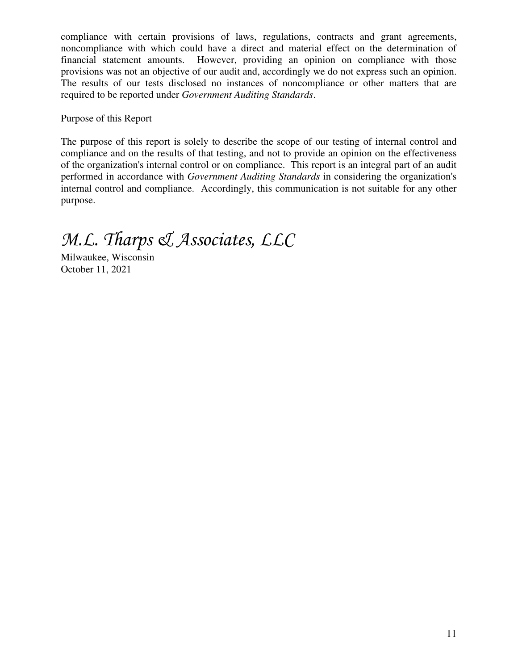compliance with certain provisions of laws, regulations, contracts and grant agreements, noncompliance with which could have a direct and material effect on the determination of financial statement amounts. However, providing an opinion on compliance with those provisions was not an objective of our audit and, accordingly we do not express such an opinion. The results of our tests disclosed no instances of noncompliance or other matters that are required to be reported under *Government Auditing Standards*.

## Purpose of this Report

The purpose of this report is solely to describe the scope of our testing of internal control and compliance and on the results of that testing, and not to provide an opinion on the effectiveness of the organization's internal control or on compliance. This report is an integral part of an audit performed in accordance with *Government Auditing Standards* in considering the organization's internal control and compliance. Accordingly, this communication is not suitable for any other purpose.

*M.L. Tharps & Associates, LLC*

Milwaukee, Wisconsin October 11, 2021